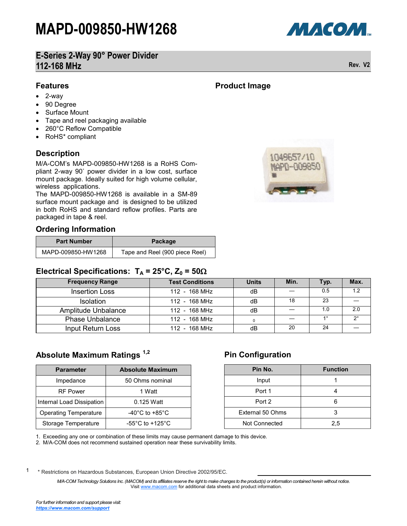# **MAPD-009850-HW1268**

# **E-Series 2-Way 90° Power Divider 112-168 MHz Rev. V2**

## **Features**

- 2-way
- 90 Degree
- Surface Mount
- Tape and reel packaging available
- 260°C Reflow Compatible
- RoHS\* compliant

## **Description**

### **Ordering Information**

| <b>Part Number</b> | Package                        |
|--------------------|--------------------------------|
| MAPD-009850-HW1268 | Tape and Reel (900 piece Reel) |

## **Electrical Specifications:**  $T_A = 25^{\circ}C$ ,  $Z_0 = 50\Omega$

| <b>Frequency Range</b> | <b>Test Conditions</b> | <b>Units</b> | Min. | Typ.        | Max.        |
|------------------------|------------------------|--------------|------|-------------|-------------|
| <b>Insertion Loss</b>  | 112 - 168 MHz          | dB           |      | 0.5         | 1.2         |
| <b>Isolation</b>       | 112 - 168 MHz          | dB           | 18   | 23          |             |
| Amplitude Unbalance    | 112 - 168 MHz          | dB           |      | 1 0         | 20          |
| <b>Phase Unbalance</b> | $112 - 168 MHz$        |              |      | $1^{\circ}$ | $2^{\circ}$ |
| Input Return Loss      | 112 - 168 MHz          | dB           | 20   | 24          |             |

## **Absolute Maximum Ratings 1,2**

| 90 Degree<br>Surface Mount<br>٠<br>Tape and reel packaging available<br>$\bullet$<br>260°C Reflow Compatible<br>$\bullet$<br>RoHS* compliant<br>$\bullet$                                                                                                                                                                                                                                             |                                       |                                                |  |
|-------------------------------------------------------------------------------------------------------------------------------------------------------------------------------------------------------------------------------------------------------------------------------------------------------------------------------------------------------------------------------------------------------|---------------------------------------|------------------------------------------------|--|
| <b>Description</b><br>M/A-COM's MAPD-009850-HW1268 is a RoHS Cor<br>pliant 2-way 90° power divider in a low cost, surfad<br>mount package. Ideally suited for high volume cellula<br>wireless applications.<br>The MAPD-009850-HW1268 is available in a SM-8<br>surface mount package and is designed to be utilize<br>in both RoHS and standard reflow profiles. Parts a<br>packaged in tape & reel. |                                       |                                                |  |
| <b>Ordering Information</b>                                                                                                                                                                                                                                                                                                                                                                           |                                       |                                                |  |
| <b>Part Number</b>                                                                                                                                                                                                                                                                                                                                                                                    |                                       | Package                                        |  |
| MAPD-009850-HW1268                                                                                                                                                                                                                                                                                                                                                                                    |                                       | Tape and Reel (900 piece                       |  |
|                                                                                                                                                                                                                                                                                                                                                                                                       |                                       | 112 - 1                                        |  |
| <b>Insertion Loss</b><br>Isolation                                                                                                                                                                                                                                                                                                                                                                    |                                       | $\overline{1}$ 12 - 1                          |  |
| Amplitude Unbalance                                                                                                                                                                                                                                                                                                                                                                                   |                                       |                                                |  |
| <b>Phase Unbalance</b><br>Input Return Loss                                                                                                                                                                                                                                                                                                                                                           |                                       | $112 - 1$<br>$112 - 1$<br>$\overline{112}$ - 1 |  |
| <b>Parameter</b>                                                                                                                                                                                                                                                                                                                                                                                      | <b>Absolute Maximum</b>               |                                                |  |
| Impedance                                                                                                                                                                                                                                                                                                                                                                                             | 50 Ohms nominal                       |                                                |  |
| <b>RF Power</b>                                                                                                                                                                                                                                                                                                                                                                                       | 1 Watt                                |                                                |  |
| Internal Load Dissipation                                                                                                                                                                                                                                                                                                                                                                             | 0.125 Watt                            |                                                |  |
| <b>Operating Temperature</b>                                                                                                                                                                                                                                                                                                                                                                          | -40°C to +85°C                        |                                                |  |
| Absolute Maximum Ratings <sup>1,2</sup><br>Storage Temperature                                                                                                                                                                                                                                                                                                                                        | -55 $^{\circ}$ C to +125 $^{\circ}$ C |                                                |  |

## **Pin Configuration**

| Pin No.          | <b>Function</b> |
|------------------|-----------------|
| Input            |                 |
| Port 1           |                 |
| Port 2           |                 |
| External 50 Ohms | з               |
| Not Connected    | 2,5             |

1. Exceeding any one or combination of these limits may cause permanent damage to this device.

2. M/A-COM does not recommend sustained operation near these survivability limits.

1 \* Restrictions on Hazardous Substances, European Union Directive 2002/95/EC.

> *M/A-COM Technology Solutions Inc. (MACOM) and its affiliates reserve the right to make changes to the product(s) or information contained herein without notice.*  Visit [www.macom.com](http://www.macom.com/) for additional data sheets and product information.

**Product Image**



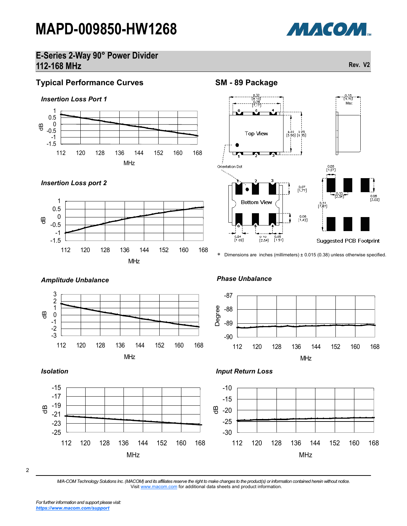# **MAPD-009850-HW1268**



## **E-Series 2-Way 90° Power Divider 112-168 MHz Rev. V2**





## **SM - 89 Package**



Dimensions are inches (millimeters) ± 0.015 (0.38) unless otherwise specified.



*Amplitude Unbalance Phase Unbalance*

*Input Return Loss*



#### *Isolation*



2

*M/A-COM Technology Solutions Inc. (MACOM) and its affiliates reserve the right to make changes to the product(s) or information contained herein without notice.*  Visit [www.macom.com](http://www.macom.com/) for additional data sheets and product information.